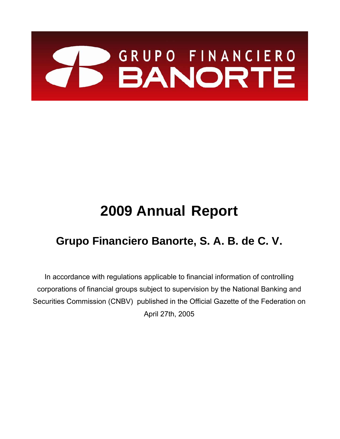# BANORTE

# **2009 Annual Report**

# **Grupo Financiero Banorte, S. A. B. de C. V.**

In accordance with regulations applicable to financial information of controlling corporations of financial groups subject to supervision by the National Banking and Securities Commission (CNBV) published in the Official Gazette of the Federation on April 27th, 2005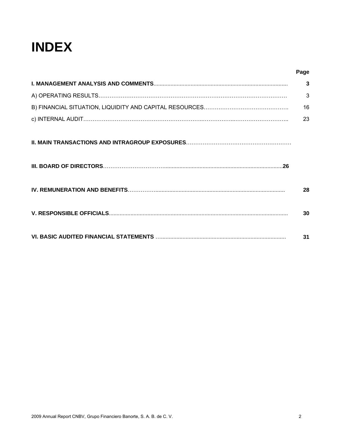# **INDEX**

| Page |
|------|
| 3    |
| 3    |
| 16   |
| 23   |
|      |
| 28   |
| 30   |
| 31   |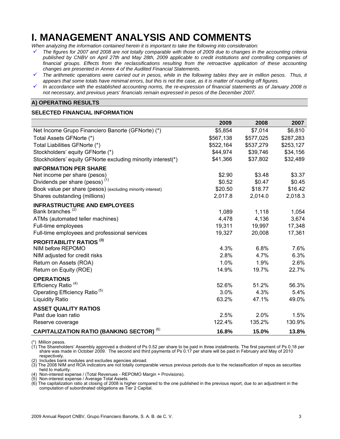# **I. MANAGEMENT ANALYSIS AND COMMENTS**

*When analyzing the information contained herein it is important to take the following into consideration:* 

- 9 *The figures for 2007 and 2008 are not totally comparable with those of 2009 due to changes in the accounting criteria published by CNBV on April 27th and May 28th, 2009 applicable to credit institutions and controlling companies of*  financial groups. Effects from the reclassifications resulting from the retroactive application of these accounting *changes are presented in Annex 4 of the Audited Financial Statements.*
- 9 *The arithmetic operations were carried out in pesos, while in the following tables they are in million pesos. Thus, it appears that some totals have minimal errors, but this is not the case, as it is matter of rounding off figures.*
- 9 *In accordance with the established accounting norms, the re-expression of financial statements as of January 2008 is not necessary, and previous years' financials remain expressed in pesos of the December 2007.*

#### **A) OPERATING RESULTS**

#### **SELECTED FINANCIAL INFORMATION**

|                                                             | 2009      | 2008      | 2007      |
|-------------------------------------------------------------|-----------|-----------|-----------|
| Net Income Grupo Financiero Banorte (GFNorte) (*)           | \$5,854   | \$7,014   | \$6,810   |
| Total Assets GFNorte (*)                                    | \$567,138 | \$577,025 | \$287,283 |
| Total Liabilities GFNorte (*)                               | \$522,164 | \$537,279 | \$253,127 |
| Stockholders' equity GFNorte (*)                            | \$44,974  | \$39,746  | \$34,156  |
| Stockholders' equity GFNorte excluding minority interest(*) | \$41,366  | \$37,802  | \$32,489  |
| <b>INFORMATION PER SHARE</b>                                |           |           |           |
| Net income per share (pesos)                                | \$2.90    | \$3.48    | \$3.37    |
| Dividends per share (pesos) <sup>(1)</sup>                  | \$0.52    | \$0.47    | \$0.45    |
| Book value per share (pesos) (excluding minority interest)  | \$20.50   | \$18.77   | \$16.42   |
| Shares outstanding (millions)                               | 2,017.8   | 2,014.0   | 2,018.3   |
| <b>INFRASTRUCTURE AND EMPLOYEES</b>                         |           |           |           |
| Bank branches <sup>(2)</sup>                                | 1,089     | 1,118     | 1,054     |
| ATMs (automated teller machines)                            | 4,478     | 4,136     | 3,674     |
| Full-time employees                                         | 19,311    | 19,997    | 17,348    |
| Full-time employees and professional services               | 19,327    | 20,008    | 17,361    |
| <b>PROFITABILITY RATIOS (3)</b>                             |           |           |           |
| NIM before REPOMO                                           | 4.3%      | 6.8%      | 7.6%      |
| NIM adjusted for credit risks                               | 2.8%      | 4.7%      | 6.3%      |
| Return on Assets (ROA)                                      | 1.0%      | 1.9%      | 2.6%      |
| Return on Equity (ROE)                                      | 14.9%     | 19.7%     | 22.7%     |
| <b>OPERATIONS</b>                                           |           |           |           |
| Efficiency Ratio <sup>(4)</sup>                             | 52.6%     | 51.2%     | 56.3%     |
| Operating Efficiency Ratio <sup>(5)</sup>                   | 3.0%      | 4.3%      | 5.4%      |
| <b>Liquidity Ratio</b>                                      | 63.2%     | 47.1%     | 49.0%     |
| <b>ASSET QUALITY RATIOS</b>                                 |           |           |           |
| Past due loan ratio                                         | 2.5%      | 2.0%      | 1.5%      |
| Reserve coverage                                            | 122.4%    | 135.2%    | 130.9%    |
| <b>CAPITALIZATION RATIO (BANKING SECTOR) (6)</b>            | 16.8%     | 15.0%     | 13.8%     |

\*) Million pesos.

(1) The Shareholders' Assembly approved a dividend of Ps 0.52 per share to be paid in three installments. The first payment of Ps 0.18 per share was made in October 2009. The second and third payments of Ps 0.17 per share will be paid in February and May of 2010 respectively.

(2) Includes bank modules and excludes agencies abroad.

(3) The 2008 NIM and ROA indicators are not totally comparable versus previous periods due to the reclassification of repos as securities held to maturity.

(4) Non-interest expense / (Total Revenues - REPOMO Margin + Provisions).

(5) Non-interest expense / Average Total Assets.

(6) The capitalization ratio at closing of 2008 is higher compared to the one published in the previous report, due to an adjustment in the computation of subordinated obligations as Tier 2 Capital.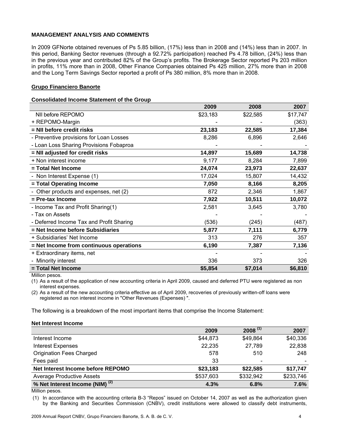#### **MANAGEMENT ANALYSIS AND COMMENTS**

In 2009 GFNorte obtained revenues of Ps 5.85 billion, (17%) less than in 2008 and (14%) less than in 2007. In this period, Banking Sector revenues (through a 92.72% participation) reached Ps 4.78 billion, (24%) less than in the previous year and contributed 82% of the Group's profits. The Brokerage Sector reported Ps 203 million in profits, 11% more than in 2008, Other Finance Companies obtained Ps 425 million, 27% more than in 2008 and the Long Term Savings Sector reported a profit of Ps 380 million, 8% more than in 2008.

#### **Grupo Financiero Banorte**

#### **Consolidated Income Statement of the Group**

|                                          | 2009     | 2008     | 2007     |
|------------------------------------------|----------|----------|----------|
| NII before REPOMO                        | \$23,183 | \$22,585 | \$17,747 |
| + REPOMO-Margin                          |          |          | (363)    |
| $=$ NII before credit risks              | 23,183   | 22,585   | 17,384   |
| - Preventive provisions for Loan Losses  | 8,286    | 6,896    | 2,646    |
| - Loan Loss Sharing Provisions Fobaproa  |          |          |          |
| = NII adjusted for credit risks          | 14,897   | 15,689   | 14,738   |
| + Non interest income                    | 9,177    | 8,284    | 7,899    |
| = Total Net Income                       | 24,074   | 23,973   | 22,637   |
| - Non Interest Expense (1)               | 17,024   | 15,807   | 14,432   |
| = Total Operating Income                 | 7,050    | 8,166    | 8,205    |
| Other products and expenses, net (2)     | 872      | 2,346    | 1,867    |
| $=$ Pre-tax Income                       | 7,922    | 10,511   | 10,072   |
| - Income Tax and Profit Sharing(1)       | 2,581    | 3,645    | 3,780    |
| - Tax on Assets                          |          |          |          |
| - Deferred Income Tax and Profit Sharing | (536)    | (245)    | (487)    |
| = Net Income before Subsidiaries         | 5,877    | 7,111    | 6,779    |
| + Subsidiaries' Net Income               | 313      | 276      | 357      |
| = Net Income from continuous operations  | 6,190    | 7,387    | 7,136    |
| + Extraordinary items, net               |          |          |          |
| Minority interest                        | 336      | 373      | 326      |
| = Total Net Income                       | \$5,854  | \$7,014  | \$6,810  |

Million pesos.

(1) As a result of the application of new accounting criteria in April 2009, caused and deferred PTU were registered as non interest expenses.

(2) As a result of the new accounting criteria effective as of April 2009, recoveries of previously written-off loans were registered as non interest income in "Other Revenues (Expenses) ".

The following is a breakdown of the most important items that comprise the Income Statement:

#### **Net Interest Income**

|                                            | 2009      | $2008$ <sup>(1)</sup> | 2007      |
|--------------------------------------------|-----------|-----------------------|-----------|
| Interest Income                            | \$44,873  | \$49,864              | \$40,336  |
| Interest Expenses                          | 22,235    | 27,789                | 22,838    |
| <b>Origination Fees Charged</b>            | 578       | 510                   | 248       |
| Fees paid                                  | 33        |                       |           |
| Net Interest Income before REPOMO          | \$23,183  | \$22,585              | \$17,747  |
| <b>Average Productive Assets</b>           | \$537,603 | \$332,942             | \$233,746 |
| % Net Interest Income (NIM) <sup>(2)</sup> | 4.3%      | 6.8%                  | 7.6%      |

Million pesos.

(1) In accordance with the accounting criteria B-3 "Repos" issued on October 14, 2007 as well as the authorization given by the Banking and Securities Commission (CNBV), credit institutions were allowed to classify debt instruments,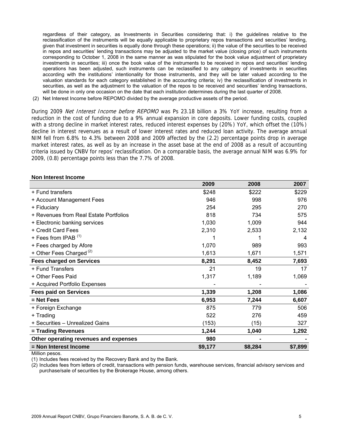regardless of their category, as Investments in Securities considering that: i) the guidelines relative to the reclassification of the instruments will be equally applicable to proprietary repos transactions and securities' lending, given that investment in securities is equally done through these operations; ii) the value of the securities to be received in repos and securities' lending transactions may be adjusted to the market value (closing price) of such instruments corresponding to October 1, 2008 in the same manner as was stipulated for the book value adjustment of proprietary investments in securities; iii) once the book value of the instruments to be received in repos and securities' lending operations has been adjusted, such instruments can be reclassified to any category of investments in securities according with the institutions' intentionality for those instruments, and they will be later valued according to the valuation standards for each category established in the accounting criteria; iv) the reclassification of investments in securities, as well as the adjustment to the valuation of the repos to be received and securities' lending transactions, will be done in only one occasion on the date that each institution determines during the last quarter of 2008.

(2) Net Interest Income before REPOMO divided by the average productive assets of the period.

During 2009 Net Interest Income before REPOMO was Ps 23.18 billion a 3% YoY increase, resulting from a reduction in the cost of funding due to a 9% annual expansion in core deposits. Lower funding costs, coupled with a strong decline in market interest rates, reduced interest expenses by (20%) YoY, which offset the (10%) decline in interest revenues as a result of lower interest rates and reduced loan activity. The average annual NIM fell from 6.8% to 4.3% between 2008 and 2009 affected by the (2.2) percentage points drop in average market interest rates, as well as by an increase in the asset base at the end of 2008 as a result of accounting criteria issued by CNBV for repos' reclassification. On a comparable basis, the average annual NIM was 6.9% for 2009, (0.8) percentage points less than the 7.7% of 2008.

#### **Non Interest Income**

| 2009    | 2008    | 2007    |
|---------|---------|---------|
| \$248   | \$222   | \$229   |
| 946     | 998     | 976     |
| 254     | 295     | 270     |
| 818     | 734     | 575     |
| 1,030   | 1,009   | 944     |
| 2,310   | 2,533   | 2,132   |
|         |         | 4       |
| 1,070   | 989     | 993     |
| 1,613   | 1,671   | 1,571   |
| 8,291   | 8,452   | 7,693   |
| 21      | 19      | 17      |
| 1,317   | 1,189   | 1,069   |
|         |         |         |
| 1,339   | 1,208   | 1,086   |
| 6,953   | 7,244   | 6,607   |
| 875     | 779     | 506     |
| 522     | 276     | 459     |
| (153)   | (15)    | 327     |
| 1,244   | 1,040   | 1,292   |
| 980     |         |         |
| \$9,177 | \$8,284 | \$7,899 |
|         |         |         |

Million pesos.

(1) Includes fees received by the Recovery Bank and by the Bank.

(2) Includes fees from letters of credit, transactions with pension funds, warehouse services, financial advisory services and purchase/sale of securities by the Brokerage House, among others.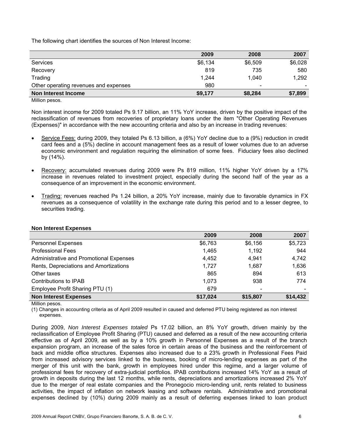The following chart identifies the sources of Non Interest Income:

| 2009    | 2008    | 2007    |
|---------|---------|---------|
| \$6,134 | \$6,509 | \$6,028 |
| 819     | 735     | 580     |
| 1.244   | 1.040   | 1,292   |
| 980     |         |         |
| \$9,177 | \$8,284 | \$7,899 |
|         |         |         |

Million pesos.

Non interest income for 2009 totaled Ps 9.17 billion, an 11% YoY increase, driven by the positive impact of the reclassification of revenues from recoveries of proprietary loans under the item "Other Operating Revenues (Expenses)" in accordance with the new accounting criteria and also by an increase in trading revenues:

- Service Fees: during 2009, they totaled Ps 6.13 billion, a (6%) YoY decline due to a (9%) reduction in credit card fees and a (5%) decline in account management fees as a result of lower volumes due to an adverse economic environment and regulation requiring the elimination of some fees. Fiduciary fees also declined by (14%).
- Recovery: accumulated revenues during 2009 were Ps 819 million, 11% higher YoY driven by a 17% increase in revenues related to investment project, especially during the second half of the year as a consequence of an improvement in the economic environment.
- Trading: revenues reached Ps 1.24 billion, a 20% YoY increase, mainly due to favorable dynamics in FX revenues as a consequence of volatility in the exchange rate during this period and to a lesser degree, to securities trading.

|                                         | 2009     | 2008     | 2007     |
|-----------------------------------------|----------|----------|----------|
| <b>Personnel Expenses</b>               | \$6,763  | \$6,156  | \$5,723  |
| <b>Professional Fees</b>                | 1,465    | 1,192    | 944      |
| Administrative and Promotional Expenses | 4,452    | 4.941    | 4,742    |
| Rents, Depreciations and Amortizations  | 1,727    | 1,687    | 1,636    |
| Other taxes                             | 865      | 894      | 613      |
| Contributions to IPAB                   | 1,073    | 938      | 774      |
| Employee Profit Sharing PTU (1)         | 679      |          |          |
| <b>Non Interest Expenses</b>            | \$17,024 | \$15,807 | \$14,432 |

#### **Non Interest Expenses**

Million pesos.

(1) Changes in accounting criteria as of April 2009 resulted in caused and deferred PTU being registered as non interest expenses.

During 2009, *Non Interest Expenses totaled* Ps 17.02 billion, an 8% YoY growth, driven mainly by the reclassification of Employee Profit Sharing (PTU) caused and deferred as a result of the new accounting criteria effective as of April 2009, as well as by a 10% growth in Personnel Expenses as a result of the branch expansion program, an increase of the sales force in certain areas of the business and the reinforcement of back and middle office structures. Expenses also increased due to a 23% growth in Professional Fees Paid from increased advisory services linked to the business, booking of micro-lending expenses as part of the merger of this unit with the bank, growth in employees hired under this regime, and a larger volume of professional fees for recovery of extra-judicial portfolios. IPAB contributions increased 14% YoY as a result of growth in deposits during the last 12 months, while rents, depreciations and amortizations increased 2% YoY due to the merger of real estate companies and the Pronegocio micro-lending unit, rents related to business activities, the impact of inflation on network leasing and software rentals. Administrative and promotional expenses declined by (10%) during 2009 mainly as a result of deferring expenses linked to loan product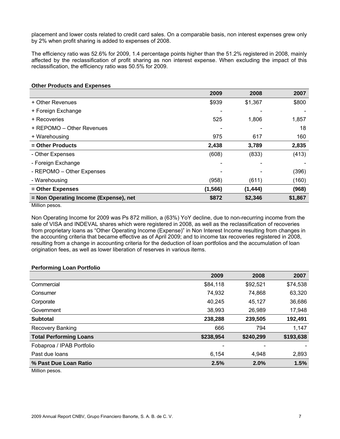placement and lower costs related to credit card sales. On a comparable basis, non interest expenses grew only by 2% when profit sharing is added to expenses of 2008.

The efficiency ratio was 52.6% for 2009, 1.4 percentage points higher than the 51.2% registered in 2008, mainly affected by the reclassification of profit sharing as non interest expense. When excluding the impact of this reclassification, the efficiency ratio was 50.5% for 2009.

#### **Other Products and Expenses**

|                                       | 2009     | 2008     | 2007    |
|---------------------------------------|----------|----------|---------|
| + Other Revenues                      | \$939    | \$1,367  | \$800   |
| + Foreign Exchange                    |          |          |         |
| + Recoveries                          | 525      | 1,806    | 1,857   |
| + REPOMO - Other Revenues             |          |          | 18      |
| + Warehousing                         | 975      | 617      | 160     |
| = Other Products                      | 2,438    | 3,789    | 2,835   |
| - Other Expenses                      | (608)    | (833)    | (413)   |
| - Foreign Exchange                    |          |          |         |
| - REPOMO - Other Expenses             |          |          | (396)   |
| - Warehousing                         | (958)    | (611)    | (160)   |
| = Other Expenses                      | (1, 566) | (1, 444) | (968)   |
| = Non Operating Income (Expense), net | \$872    | \$2,346  | \$1,867 |
| <b>B.A.III</b>                        |          |          |         |

Million pesos.

Non Operating Income for 2009 was Ps 872 million, a (63%) YoY decline, due to non-recurring income from the sale of VISA and INDEVAL shares which were registered in 2008, as well as the reclassification of recoveries from proprietary loans as "Other Operating Income (Expense)" in Non Interest Income resulting from changes in the accounting criteria that became effective as of April 2009; and to income tax recoveries registered in 2008, resulting from a change in accounting criteria for the deduction of loan portfolios and the accumulation of loan origination fees, as well as lower liberation of reserves in various items.

#### **Performing Loan Portfolio**

|                               | 2009      | 2008      | 2007      |
|-------------------------------|-----------|-----------|-----------|
| Commercial                    | \$84,118  | \$92,521  | \$74,538  |
| Consumer                      | 74,932    | 74,868    | 63,320    |
| Corporate                     | 40,245    | 45,127    | 36,686    |
| Government                    | 38,993    | 26,989    | 17,948    |
| <b>Subtotal</b>               | 238,288   | 239,505   | 192,491   |
| Recovery Banking              | 666       | 794       | 1,147     |
| <b>Total Performing Loans</b> | \$238,954 | \$240,299 | \$193,638 |
| Fobaproa / IPAB Portfolio     |           |           |           |
| Past due loans                | 6,154     | 4,948     | 2,893     |
| % Past Due Loan Ratio         | 2.5%      | 2.0%      | 1.5%      |

Million pesos.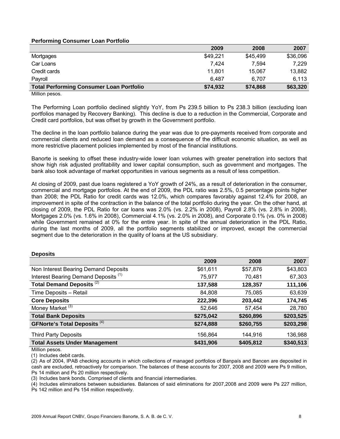#### **Performing Consumer Loan Portfolio**

|                                                 | 2009     | 2008     | 2007     |
|-------------------------------------------------|----------|----------|----------|
| Mortgages                                       | \$49,221 | \$45,499 | \$36,096 |
| Car Loans                                       | 7.424    | 7.594    | 7.229    |
| Credit cards                                    | 11,801   | 15.067   | 13,882   |
| Payroll                                         | 6.487    | 6.707    | 6,113    |
| <b>Total Performing Consumer Loan Portfolio</b> | \$74,932 | \$74,868 | \$63,320 |

Million pesos.

The Performing Loan portfolio declined slightly YoY, from Ps 239.5 billion to Ps 238.3 billion (excluding loan portfolios managed by Recovery Banking). This decline is due to a reduction in the Commercial, Corporate and Credit card portfolios, but was offset by growth in the Government portfolio.

The decline in the loan portfolio balance during the year was due to pre-payments received from corporate and commercial clients and reduced loan demand as a consequence of the difficult economic situation, as well as more restrictive placement policies implemented by most of the financial institutions.

Banorte is seeking to offset these industry-wide lower loan volumes with greater penetration into sectors that show high risk adjusted profitability and lower capital consumption, such as government and mortgages. The bank also took advantage of market opportunities in various segments as a result of less competition.

At closing of 2009, past due loans registered a YoY growth of 24%, as a result of deterioration in the consumer, commercial and mortgage portfolios. At the end of 2009, the PDL ratio was 2.5%, 0.5 percentage points higher than 2008; the PDL Ratio for credit cards was 12.0%, which compares favorably against 12.4% for 2008, an improvement in spite of the contraction in the balance of the total portfolio during the year. On the other hand, at closing of 2009, the PDL Ratio for car loans was 2.0% (vs. 2.2% in 2008), Payroll 2.8% (vs. 2.8% in 2008), Mortgages 2.0% (vs. 1.6% in 2008), Commercial 4.1% (vs. 2.0% in 2008), and Corporate 0.1% (vs. 0% in 2008) while Government remained at 0% for the entire year. In spite of the annual deterioration in the PDL Ratio, during the last months of 2009, all the portfolio segments stabilized or improved, except the commercial segment due to the deterioration in the quality of loans at the US subsidiary.

#### **Deposits**

|                                                 | 2009      | 2008      | 2007      |
|-------------------------------------------------|-----------|-----------|-----------|
| Non Interest Bearing Demand Deposits            | \$61,611  | \$57,876  | \$43,803  |
| Interest Bearing Demand Deposits <sup>(1)</sup> | 75,977    | 70,481    | 67,303    |
| Total Demand Deposits <sup>(2)</sup>            | 137,588   | 128,357   | 111,106   |
| Time Deposits - Retail                          | 84,808    | 75,085    | 63,639    |
| <b>Core Deposits</b>                            | 222,396   | 203,442   | 174,745   |
| Money Market <sup>(3)</sup>                     | 52,646    | 57,454    | 28,780    |
| <b>Total Bank Deposits</b>                      | \$275,042 | \$260,896 | \$203,525 |
| <b>GFNorte's Total Deposits (4)</b>             | \$274,888 | \$260,755 | \$203,298 |
| <b>Third Party Deposits</b>                     | 156,864   | 144,916   | 136,988   |
| <b>Total Assets Under Management</b>            | \$431,906 | \$405,812 | \$340,513 |

Million pesos.

(1) Includes debit cards.

(2) As of 2004, IPAB checking accounts in which collections of managed portfolios of Banpaís and Bancen are deposited in cash are excluded, retroactively for comparison. The balances of these accounts for 2007, 2008 and 2009 were Ps 9 million, Ps 14 million and Ps 20 million respectively.

(3) Includes bank bonds. Comprised of clients and financial intermediaries.

(4) Includes eliminations between subsidiaries. Balances of said eliminations for 2007,2008 and 2009 were Ps 227 million,

Ps 142 million and Ps 154 million respectively.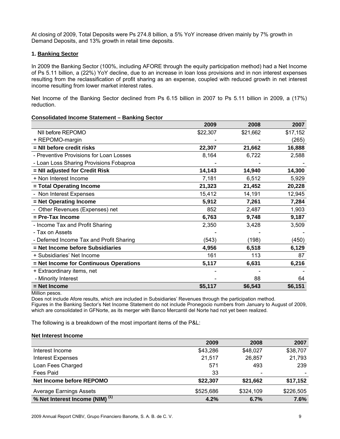At closing of 2009, Total Deposits were Ps 274.8 billion, a 5% YoY increase driven mainly by 7% growth in Demand Deposits, and 13% growth in retail time deposits.

#### **1. Banking Sector**

In 2009 the Banking Sector (100%, including AFORE through the equity participation method) had a Net Income of Ps 5.11 billion, a (22%) YoY decline, due to an increase in loan loss provisions and in non interest expenses resulting from the reclassification of profit sharing as an expense, coupled with reduced growth in net interest income resulting from lower market interest rates.

Net Income of the Banking Sector declined from Ps 6.15 billion in 2007 to Ps 5.11 billion in 2009, a (17%) reduction.

#### **Consolidated Income Statement – Banking Sector**

|                                          | 2009     | 2008     | 2007     |
|------------------------------------------|----------|----------|----------|
| NII before REPOMO                        | \$22,307 | \$21,662 | \$17,152 |
| + REPOMO-margin                          |          |          | (265)    |
| = NII before credit risks                | 22,307   | 21,662   | 16,888   |
| - Preventive Provisions for Loan Losses  | 8,164    | 6,722    | 2,588    |
| - Loan Loss Sharing Provisions Fobaproa  |          |          |          |
| = NII adjusted for Credit Risk           | 14,143   | 14,940   | 14,300   |
| + Non Interest Income                    | 7,181    | 6,512    | 5,929    |
| = Total Operating Income                 | 21,323   | 21,452   | 20,228   |
| - Non Interest Expenses                  | 15,412   | 14,191   | 12,945   |
| = Net Operating Income                   | 5,912    | 7,261    | 7,284    |
| - Other Revenues (Expenses) net          | 852      | 2,487    | 1,903    |
| = Pre-Tax Income                         | 6,763    | 9,748    | 9,187    |
| - Income Tax and Profit Sharing          | 2,350    | 3,428    | 3,509    |
| - Tax on Assets                          |          |          |          |
| - Deferred Income Tax and Profit Sharing | (543)    | (198)    | (450)    |
| = Net Income before Subsidiaries         | 4,956    | 6,518    | 6,129    |
| + Subsidiaries' Net Income               | 161      | 113      | 87       |
| = Net Income for Continuous Operations   | 5,117    | 6,631    | 6,216    |
| + Extraordinary items, net               |          |          |          |
| - Minority Interest                      |          | 88       | 64       |
| = Net Income                             | \$5,117  | \$6,543  | \$6,151  |

Million pesos.

Does not include Afore results, which are included in Subsidiaries' Revenues through the participation method.

Figures in the Banking Sector's Net Income Statement do not include Pronegocio numbers from January to August of 2009, which are consolidated in GFNorte, as its merger with Banco Mercantil del Norte had not yet been realized.

The following is a breakdown of the most important items of the P&L:

#### **Net Interest Income**

|                                            | 2009      | 2008      | 2007      |
|--------------------------------------------|-----------|-----------|-----------|
| Interest Income                            | \$43,286  | \$48,027  | \$38,707  |
| <b>Interest Expenses</b>                   | 21,517    | 26,857    | 21,793    |
| Loan Fees Charged                          | 571       | 493       | 239       |
| Fees Paid                                  | 33        |           |           |
| Net Income before REPOMO                   | \$22,307  | \$21,662  | \$17,152  |
| <b>Average Earnings Assets</b>             | \$525,686 | \$324,109 | \$226,505 |
| % Net Interest Income (NIM) <sup>(1)</sup> | 4.2%      | 6.7%      | 7.6%      |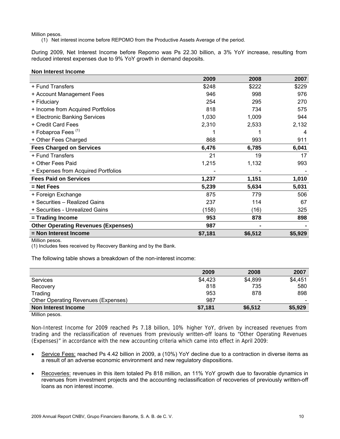(1) Net interest income before REPOMO from the Productive Assets Average of the period.

During 2009, Net Interest Income before Repomo was Ps 22.30 billion, a 3% YoY increase, resulting from reduced interest expenses due to 9% YoY growth in demand deposits.

|                                            | 2009    | 2008    | 2007    |
|--------------------------------------------|---------|---------|---------|
| + Fund Transfers                           | \$248   | \$222   | \$229   |
| + Account Management Fees                  | 946     | 998     | 976     |
| + Fiduciary                                | 254     | 295     | 270     |
| + Income from Acquired Portfolios          | 818     | 734     | 575     |
| + Electronic Banking Services              | 1,030   | 1,009   | 944     |
| + Credit Card Fees                         | 2,310   | 2,533   | 2,132   |
| + Fobaproa Fees <sup>(1)</sup>             |         |         | 4       |
| + Other Fees Charged                       | 868     | 993     | 911     |
| <b>Fees Charged on Services</b>            | 6,476   | 6,785   | 6,041   |
| + Fund Transfers                           | 21      | 19      | 17      |
| + Other Fees Paid                          | 1,215   | 1,132   | 993     |
| + Expenses from Acquired Portfolios        |         |         |         |
| <b>Fees Paid on Services</b>               | 1,237   | 1,151   | 1,010   |
| $=$ Net Fees                               | 5,239   | 5,634   | 5,031   |
| + Foreign Exchange                         | 875     | 779     | 506     |
| + Securities - Realized Gains              | 237     | 114     | 67      |
| + Securities - Unrealized Gains            | (158)   | (16)    | 325     |
| = Trading Income                           | 953     | 878     | 898     |
| <b>Other Operating Revenues (Expenses)</b> | 987     |         |         |
| = Non Interest Income                      | \$7,181 | \$6,512 | \$5,929 |

Million pesos.

(1) Includes fees received by Recovery Banking and by the Bank.

The following table shows a breakdown of the non-interest income:

|                                     | 2009    | 2008                     | 2007    |
|-------------------------------------|---------|--------------------------|---------|
| Services                            | \$4,423 | \$4,899                  | \$4,451 |
| Recovery                            | 818     | 735                      | 580     |
| Trading                             | 953     | 878                      | 898     |
| Other Operating Revenues (Expenses) | 987     | $\overline{\phantom{a}}$ |         |
| Non Interest Income                 | \$7,181 | \$6,512                  | \$5,929 |
| $\blacksquare$                      |         |                          |         |

Million pesos.

Non-Interest Income for 2009 reached Ps 7.18 billion, 10% higher YoY, driven by increased revenues from trading and the reclassification of revenues from previously written-off loans to "Other Operating Revenues (Expenses)" in accordance with the new accounting criteria which came into effect in April 2009:

- Service Fees: reached Ps 4.42 billion in 2009, a (10%) YoY decline due to a contraction in diverse items as a result of an adverse economic environment and new regulatory dispositions.
- Recoveries: revenues in this item totaled Ps 818 million, an 11% YoY growth due to favorable dynamics in revenues from investment projects and the accounting reclassification of recoveries of previously written-off loans as non interest income.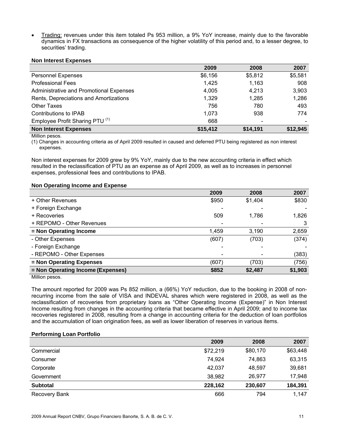• Trading: revenues under this item totaled Ps 953 million, a 9% YoY increase, mainly due to the favorable dynamics in FX transactions as consequence of the higher volatility of this period and, to a lesser degree, to securities' trading.

#### **Non Interest Expenses**

|                                            | 2009     | 2008     | 2007     |
|--------------------------------------------|----------|----------|----------|
| <b>Personnel Expenses</b>                  | \$6,156  | \$5,812  | \$5,581  |
| <b>Professional Fees</b>                   | 1,425    | 1,163    | 908      |
| Administrative and Promotional Expenses    | 4,005    | 4,213    | 3,903    |
| Rents, Depreciations and Amortizations     | 1,329    | 1,285    | 1,286    |
| Other Taxes                                | 756      | 780      | 493      |
| Contributions to IPAB                      | 1.073    | 938      | 774      |
| Employee Profit Sharing PTU <sup>(1)</sup> | 668      |          |          |
| <b>Non Interest Expenses</b>               | \$15,412 | \$14,191 | \$12,945 |

Million pesos.

(1) Changes in accounting criteria as of April 2009 resulted in caused and deferred PTU being registered as non interest expenses.

Non interest expenses for 2009 grew by 9% YoY, mainly due to the new accounting criteria in effect which resulted in the reclassification of PTU as an expense as of April 2009, as well as to increases in personnel expenses, professional fees and contributions to IPAB.

#### **Non Operating Income and Expense**

|                                   | 2009  | 2008    | 2007    |
|-----------------------------------|-------|---------|---------|
| + Other Revenues                  | \$950 | \$1,404 | \$830   |
| + Foreign Exchange                |       |         |         |
| + Recoveries                      | 509   | 1,786   | 1,826   |
| + REPOMO - Other Revenues         |       |         |         |
| = Non Operating Income            | 1,459 | 3,190   | 2,659   |
| - Other Expenses                  | (607) | (703)   | (374)   |
| - Foreign Exchange                |       |         |         |
| - REPOMO - Other Expenses         |       |         | (383)   |
| = Non Operating Expenses          | (607) | (703)   | (756)   |
| = Non Operating Income (Expenses) | \$852 | \$2,487 | \$1,903 |

Million pesos.

The amount reported for 2009 was Ps 852 million, a (66%) YoY reduction, due to the booking in 2008 of nonrecurring income from the sale of VISA and INDEVAL shares which were registered in 2008, as well as the reclassification of recoveries from proprietary loans as "Other Operating Income (Expense)" in Non Interest Income resulting from changes in the accounting criteria that became effective in April 2009; and to income tax recoveries registered in 2008, resulting from a change in accounting criteria for the deduction of loan portfolios and the accumulation of loan origination fees, as well as lower liberation of reserves in various items.

#### **Performing Loan Portfolio**

|                 | 2009     | 2008     | 2007     |
|-----------------|----------|----------|----------|
| Commercial      | \$72,219 | \$80,170 | \$63,448 |
| Consumer        | 74,924   | 74,863   | 63,315   |
| Corporate       | 42,037   | 48,597   | 39,681   |
| Government      | 38,982   | 26,977   | 17,948   |
| <b>Subtotal</b> | 228,162  | 230,607  | 184,391  |
| Recovery Bank   | 666      | 794      | 1,147    |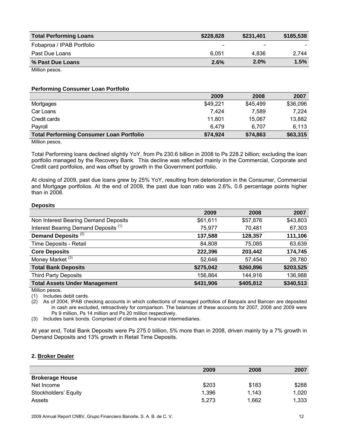| <b>Total Performing Loans</b> | \$228,828 | \$231,401                    | \$185,538 |
|-------------------------------|-----------|------------------------------|-----------|
| Fobaproa / IPAB Portfolio     |           | $\qquad \qquad \blacksquare$ |           |
| Past Due Loans                | 6.051     | 4.836                        | 2.744     |
| % Past Due Loans              | 2.6%      | 2.0%                         | 1.5%      |
| Million pesos.                |           |                              |           |

#### **Performing Consumer Loan Portfolio**

|                                                 | 2009     | 2008     | 2007     |
|-------------------------------------------------|----------|----------|----------|
| Mortgages                                       | \$49,221 | \$45,499 | \$36,096 |
| Car Loans                                       | 7.424    | 7,589    | 7.224    |
| Credit cards                                    | 11,801   | 15.067   | 13,882   |
| Payroll                                         | 6.479    | 6.707    | 6,113    |
| <b>Total Performing Consumer Loan Portfolio</b> | \$74,924 | \$74,863 | \$63,315 |
| .                                               |          |          |          |

Million pesos.

Total Performing loans declined slightly YoY, from Ps 230.6 billion in 2008 to Ps 228.2 billion; excluding the loan portfolio managed by the Recovery Bank. This decline was reflected mainly in the Commercial, Corporate and Credit card portfolios, and was offset by growth in the Government portfolio.

At closing of 2009, past due loans grew by 25% YoY, resulting from deterioration in the Consumer, Commercial and Mortgage portfolios. At the end of 2009, the past due loan ratio was 2.6%, 0.6 percentage points higher than in 2008.

#### **Deposits**

|                                                 | 2009      | 2008      | 2007      |
|-------------------------------------------------|-----------|-----------|-----------|
| Non Interest Bearing Demand Deposits            | \$61,611  | \$57,876  | \$43,803  |
| Interest Bearing Demand Deposits <sup>(1)</sup> | 75,977    | 70,481    | 67,303    |
| Demand Deposits <sup>(2)</sup>                  | 137,588   | 128,357   | 111,106   |
| Time Deposits - Retail                          | 84,808    | 75,085    | 63,639    |
| <b>Core Deposits</b>                            | 222,396   | 203,442   | 174,745   |
| Money Market <sup>(3)</sup>                     | 52,646    | 57,454    | 28,780    |
| <b>Total Bank Deposits</b>                      | \$275,042 | \$260,896 | \$203,525 |
| <b>Third Party Deposits</b>                     | 156,864   | 144,916   | 136,988   |
| <b>Total Assets Under Management</b>            | \$431,906 | \$405,812 | \$340,513 |

Million pesos.

(1) Includes debit cards.

(2) As of 2004, IPAB checking accounts in which collections of managed portfolios of Banpaís and Bancen are deposited in cash are excluded, retroactively for comparison. The balances of these accounts for 2007, 2008 and 2009 were Ps 9 million, Ps 14 million and Ps 20 million respectively.

(3) Includes bank bonds. Comprised of clients and financial intermediaries.

At year end, Total Bank Deposits were Ps 275.0 billion, 5% more than in 2008, driven mainly by a 7% growth in Demand Deposits and 13% growth in Retail Time Deposits.

#### **2. Broker Dealer**

|                        | 2009  | 2008  | 2007  |
|------------------------|-------|-------|-------|
| <b>Brokerage House</b> |       |       |       |
| Net Income             | \$203 | \$183 | \$288 |
| Stockholders' Equity   | 1,396 | 1,143 | 1.020 |
| Assets                 | 5,273 | 1,662 | 1,333 |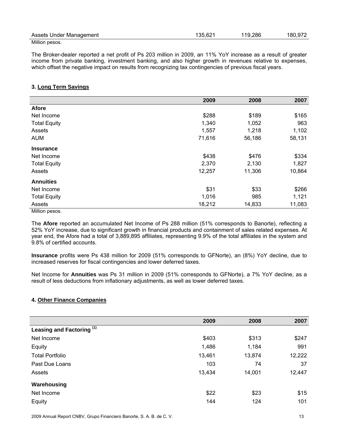| Assets Under Management | 135,621 | 119,286 | 180,972 |
|-------------------------|---------|---------|---------|
| Million posos           |         |         |         |

The Broker-dealer reported a net profit of Ps 203 million in 2009, an 11% YoY increase as a result of greater income from private banking, investment banking, and also higher growth in revenues relative to expenses, which offset the negative impact on results from recognizing tax contingencies of previous fiscal years.

#### **3. Long Term Savings**

|                         | 2009   | 2008   | 2007   |
|-------------------------|--------|--------|--------|
| <b>Afore</b>            |        |        |        |
| Net Income              | \$288  | \$189  | \$165  |
| <b>Total Equity</b>     | 1,340  | 1,052  | 963    |
| Assets                  | 1,557  | 1,218  | 1,102  |
| <b>AUM</b>              | 71,616 | 56,186 | 58,131 |
| <b>Insurance</b>        |        |        |        |
| Net Income              | \$438  | \$476  | \$334  |
| <b>Total Equity</b>     | 2,370  | 2,130  | 1,827  |
| Assets                  | 12,257 | 11,306 | 10,864 |
| <b>Annuities</b>        |        |        |        |
| Net Income              | \$31   | \$33   | \$266  |
| <b>Total Equity</b>     | 1,016  | 985    | 1,121  |
| Assets<br><b>B.A.L.</b> | 18,212 | 14,833 | 11,083 |

Million pesos.

The **Afore** reported an accumulated Net Income of Ps 288 million (51% corresponds to Banorte), reflecting a 52% YoY increase, due to significant growth in financial products and containment of sales related expenses. At year end, the Afore had a total of 3,889,895 affiliates, representing 9.9% of the total affiliates in the system and 9.8% of certified accounts.

**Insurance** profits were Ps 438 million for 2009 (51% corresponds to GFNorte), an (8%) YoY decline, due to increased reserves for fiscal contingencies and lower deferred taxes.

Net Income for **Annuities** was Ps 31 million in 2009 (51% corresponds to GFNorte), a 7% YoY decline, as a result of less deductions from inflationary adjustments, as well as lower deferred taxes.

#### **4. Other Finance Companies**

|                                      | 2009   | 2008   | 2007   |
|--------------------------------------|--------|--------|--------|
| Leasing and Factoring <sup>(1)</sup> |        |        |        |
| Net Income                           | \$403  | \$313  | \$247  |
| Equity                               | 1,486  | 1,184  | 991    |
| <b>Total Portfolio</b>               | 13,461 | 13,874 | 12,222 |
| Past Due Loans                       | 103    | 74     | 37     |
| Assets                               | 13,434 | 14,001 | 12,447 |
| Warehousing                          |        |        |        |
| Net Income                           | \$22   | \$23   | \$15   |
| Equity                               | 144    | 124    | 101    |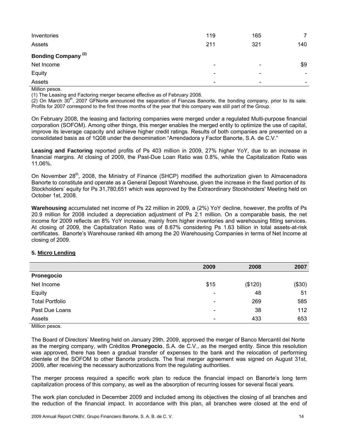| Inventories                    | 119                          | 165                      | $\overline{7}$           |
|--------------------------------|------------------------------|--------------------------|--------------------------|
| Assets                         | 211                          | 321                      | 140                      |
| Bonding Company <sup>(2)</sup> |                              |                          |                          |
| Net Income                     | $\qquad \qquad \blacksquare$ |                          | \$9                      |
| Equity                         | $\,$                         | $\,$                     | $\overline{\phantom{0}}$ |
| Assets                         | $\overline{\phantom{a}}$     | $\overline{\phantom{0}}$ | $\overline{\phantom{0}}$ |
| .                              |                              |                          |                          |

(1) The Leasing and Factoring merger became effective as of February 2008.

 $(2)$  On March 30<sup>th</sup>, 2007 GFNorte announced the separation of Fianzas Banorte, the bonding company, prior to its sale. Profits for 2007 correspond to the first three months of the year that this company was still part of the Group.

On February 2008, the leasing and factoring companies were merged under a regulated Multi-purpose financial corporation (SOFOM). Among other things, this merger enables the merged entity to optimize the use of capital, improve its leverage capacity and achieve higher credit ratings. Results of both companies are presented on a consolidated basis as of 1Q08 under the denomination "Arrendadora y Factor Banorte, S.A. de C.V."

**Leasing and Factoring** reported profits of Ps 403 million in 2009, 27% higher YoY, due to an increase in financial margins. At closing of 2009, the Past-Due Loan Ratio was 0.8%, while the Capitalization Ratio was 11.06%.

On November  $28<sup>th</sup>$ , 2008, the Ministry of Finance (SHCP) modified the authorization given to Almacenadora Banorte to constitute and operate as a General Deposit Warehouse, given the increase in the fixed portion of its Stockholders' equity for Ps 31,780,651 which was approved by the Extraordinary Stockholders' Meeting held on October 1st, 2008.

**Warehousing** accumulated net income of Ps 22 million in 2009, a (2%) YoY decline, however, the profits of Ps 20.9 million for 2008 included a depreciation adjustment of Ps 2.1 million. On a comparable basis, the net income for 2009 reflects an 8% YoY increase, mainly from higher inventories and warehousing fitting services. At closing of 2009, the Capitalization Ratio was of 8.67% considering Ps 1.63 billion in total assets-at-risk certificates. Banorte's Warehouse ranked 4th among the 20 Warehousing Companies in terms of Net Income at closing of 2009.

#### **5. Micro Lending**

|                        | 2009                         | 2008    | 2007   |
|------------------------|------------------------------|---------|--------|
| Pronegocio             |                              |         |        |
| Net Income             | \$15                         | (\$120) | (\$30) |
| Equity                 | $\overline{\phantom{0}}$     | 48      | 51     |
| <b>Total Portfolio</b> | $\overline{\phantom{0}}$     | 269     | 585    |
| Past Due Loans         | $\qquad \qquad \blacksquare$ | 38      | 112    |
| Assets<br>.            | $\overline{\phantom{a}}$     | 433     | 653    |

Million pesos.

The Board of Directors' Meeting held on January 29th, 2009, approved the merger of Banco Mercantil del Norte as the merging company, with Créditos **Pronegocio**, S.A. de C.V., as the merged entity. Since this resolution was approved, there has been a gradual transfer of expenses to the bank and the relocation of performing clientele of the SOFOM to other Banorte products. The final merger agreement was signed on August 31st, 2009, after receiving the necessary authorizations from the regulating authorities.

The merger process required a specific work plan to reduce the financial impact on Banorte's long term capitalization process of this company, as well as the absorption of recurring losses for several fiscal years.

The work plan concluded in December 2009 and included among its objectives the closing of all branches and the reduction of the financial impact. In accordance with this plan, all branches were closed at the end of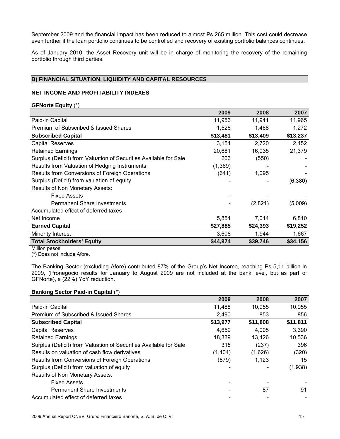September 2009 and the financial impact has been reduced to almost Ps 265 million. This cost could decrease even further if the loan portfolio continues to be controlled and recovery of existing portfolio balances continues.

As of January 2010, the Asset Recovery unit will be in charge of monitoring the recovery of the remaining portfolio through third parties.

#### **B) FINANCIAL SITUATION, LIQUIDITY AND CAPITAL RESOURCES**

#### **NET INCOME AND PROFITABILITY INDEXES**

#### **GFNorte Equity** (\*)

|                                                                   | 2009     | 2008     | 2007     |
|-------------------------------------------------------------------|----------|----------|----------|
| Paid-in Capital                                                   | 11,956   | 11,941   | 11,965   |
| Premium of Subscribed & Issued Shares                             | 1,526    | 1,468    | 1,272    |
| <b>Subscribed Capital</b>                                         | \$13,481 | \$13,409 | \$13,237 |
| <b>Capital Reserves</b>                                           | 3,154    | 2,720    | 2,452    |
| <b>Retained Earnings</b>                                          | 20,681   | 16,935   | 21,379   |
| Surplus (Deficit) from Valuation of Securities Available for Sale | 206      | (550)    |          |
| Results from Valuation of Hedging Instruments                     | (1, 369) |          |          |
| Results from Conversions of Foreign Operations                    | (641)    | 1,095    |          |
| Surplus (Deficit) from valuation of equity                        |          |          | (6,380)  |
| Results of Non Monetary Assets:                                   |          |          |          |
| <b>Fixed Assets</b>                                               |          |          |          |
| <b>Permanent Share Investments</b>                                |          | (2,821)  | (5,009)  |
| Accumulated effect of deferred taxes                              |          |          |          |
| Net Income                                                        | 5,854    | 7,014    | 6,810    |
| <b>Earned Capital</b>                                             | \$27,885 | \$24,393 | \$19,252 |
| Minority Interest                                                 | 3,608    | 1,944    | 1,667    |
| <b>Total Stockholders' Equity</b>                                 | \$44,974 | \$39,746 | \$34,156 |
|                                                                   |          |          |          |

Million pesos.

(\*) Does not include Afore.

The Banking Sector (excluding Afore) contributed 87% of the Group's Net Income, reaching Ps 5,11 billion in 2009, (Pronegocio results for January to August 2009 are not included at the bank level, but as part of GFNorte), a (22%) YoY reduction.

#### **Banking Sector Paid-in Capital** (\*)

|                                                                   | 2009     | 2008     | 2007     |
|-------------------------------------------------------------------|----------|----------|----------|
| Paid-in Capital                                                   | 11,488   | 10,955   | 10,955   |
| Premium of Subscribed & Issued Shares                             | 2,490    | 853      | 856      |
| <b>Subscribed Capital</b>                                         | \$13,977 | \$11,808 | \$11,811 |
| <b>Capital Reserves</b>                                           | 4,659    | 4,005    | 3,390    |
| <b>Retained Earnings</b>                                          | 18,339   | 13,426   | 10,536   |
| Surplus (Deficit) from Valuation of Securities Available for Sale | 315      | (237)    | 396      |
| Results on valuation of cash flow derivatives                     | (1,404)  | (1,626)  | (320)    |
| Results from Conversions of Foreign Operations                    | (679)    | 1,123    | 15       |
| Surplus (Deficit) from valuation of equity                        |          |          | (1,938)  |
| Results of Non Monetary Assets:                                   |          |          |          |
| <b>Fixed Assets</b>                                               |          |          |          |
| <b>Permanent Share Investments</b>                                |          | 87       | 91       |
| Accumulated effect of deferred taxes                              |          |          |          |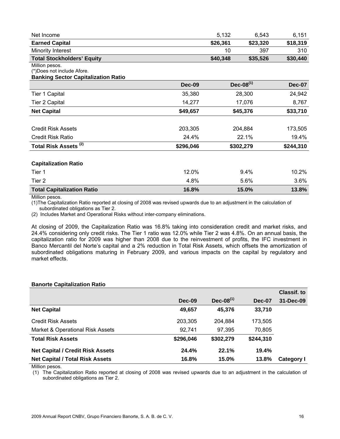| Net Income                        | 5.132    | 6.543    | 6.151    |
|-----------------------------------|----------|----------|----------|
| <b>Earned Capital</b>             | \$26,361 | \$23.320 | \$18,319 |
| Minority Interest                 | 10       | 397      | 310      |
| <b>Total Stockholders' Equity</b> | \$40,348 | \$35,526 | \$30,440 |

#### (\*)Does not include Afore.

#### **Banking Sector Capitalization Ratio**

|                                   | <b>Dec-09</b> | $Dec-08(1)$ | <b>Dec-07</b> |
|-----------------------------------|---------------|-------------|---------------|
| Tier 1 Capital                    | 35,380        | 28,300      | 24,942        |
| <b>Tier 2 Capital</b>             | 14,277        | 17,076      | 8,767         |
| <b>Net Capital</b>                | \$49,657      | \$45,376    | \$33,710      |
|                                   |               |             |               |
| <b>Credit Risk Assets</b>         | 203,305       | 204,884     | 173,505       |
| <b>Credit Risk Ratio</b>          | 24.4%         | 22.1%       | 19.4%         |
| Total Risk Assets <sup>(2)</sup>  | \$296,046     | \$302,279   | \$244,310     |
| <b>Capitalization Ratio</b>       |               |             |               |
| Tier 1                            | 12.0%         | 9.4%        | 10.2%         |
| Tier 2                            | 4.8%          | 5.6%        | 3.6%          |
| <b>Total Capitalization Ratio</b> | 16.8%         | 15.0%       | 13.8%         |

Million pesos.

(1)The Capitalization Ratio reported at closing of 2008 was revised upwards due to an adjustment in the calculation of subordinated obligations as Tier 2.

(2) Includes Market and Operational Risks without inter-company eliminations.

At closing of 2009, the Capitalization Ratio was 16.8% taking into consideration credit and market risks, and 24.4% considering only credit risks. The Tier 1 ratio was 12.0% while Tier 2 was 4.8%. On an annual basis, the capitalization ratio for 2009 was higher than 2008 due to the reinvestment of profits, the IFC investment in Banco Mercantil del Norte's capital and a 2% reduction in Total Risk Assets, which offsets the amortization of subordinated obligations maturing in February 2009, and various impacts on the capital by regulatory and market effects.

#### **Banorte Capitalization Ratio**

|                                         |           |                |               | <b>Classif. to</b> |
|-----------------------------------------|-----------|----------------|---------------|--------------------|
|                                         | Dec-09    | $Dec-08^{(1)}$ | <b>Dec-07</b> | 31-Dec-09          |
| <b>Net Capital</b>                      | 49,657    | 45,376         | 33,710        |                    |
| <b>Credit Risk Assets</b>               | 203,305   | 204.884        | 173.505       |                    |
| Market & Operational Risk Assets        | 92,741    | 97,395         | 70,805        |                    |
| <b>Total Risk Assets</b>                | \$296,046 | \$302,279      | \$244,310     |                    |
| <b>Net Capital / Credit Risk Assets</b> | 24.4%     | 22.1%          | 19.4%         |                    |
| <b>Net Capital / Total Risk Assets</b>  | 16.8%     | 15.0%          | 13.8%         | <b>Category I</b>  |

Million pesos.

(1) The Capitalization Ratio reported at closing of 2008 was revised upwards due to an adjustment in the calculation of subordinated obligations as Tier 2.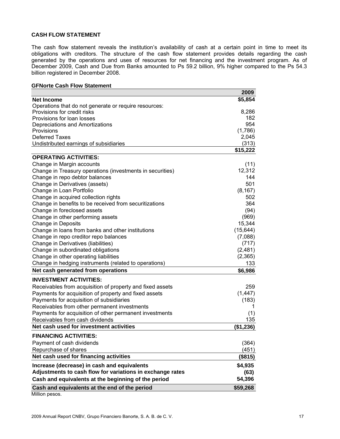#### **CASH FLOW STATEMENT**

The cash flow statement reveals the institution's availability of cash at a certain point in time to meet its obligations with creditors. The structure of the cash flow statement provides details regarding the cash generated by the operations and uses of resources for net financing and the investment program. As of December 2009, Cash and Due from Banks amounted to Ps 59.2 billion, 9% higher compared to the Ps 54.3 billion registered in December 2008.

#### **GFNorte Cash Flow Statement**

|                                                           | 2009           |
|-----------------------------------------------------------|----------------|
| <b>Net Income</b>                                         | \$5,854        |
| Operations that do not generate or require resources:     |                |
| Provisions for credit risks                               | 8,286          |
| Provisions for loan losses                                | 182            |
| Depreciations and Amortizations                           | 954            |
| Provisions                                                | (1,786)        |
| <b>Deferred Taxes</b>                                     | 2,045<br>(313) |
| Undistributed earnings of subsidiaries                    | \$15,222       |
| <b>OPERATING ACTIVITIES:</b>                              |                |
|                                                           |                |
| Change in Margin accounts                                 | (11)           |
| Change in Treasury operations (investments in securities) | 12,312         |
| Change in repo debtor balances                            | 144<br>501     |
| Change in Derivatives (assets)                            |                |
| Change in Loan Portfolio                                  | (8, 167)       |
| Change in acquired collection rights                      | 502<br>364     |
| Change in benefits to be received from securitizations    |                |
| Change in foreclosed assets                               | (94)           |
| Change in other performing assets                         | (969)          |
| <b>Change in Deposits</b>                                 | 15,344         |
| Change in loans from banks and other institutions         | (15, 644)      |
| Change in repo creditor repo balances                     | (7,088)        |
| Change in Derivatives (liabilities)                       | (717)          |
| Change in subordinated obligations                        | (2,481)        |
| Change in other operating liabilities                     | (2,365)        |
| Change in hedging instruments (related to operations)     | 133            |
| Net cash generated from operations                        | \$6,986        |
| <b>INVESTMENT ACTIVITIES:</b>                             |                |
| Receivables from acquisition of property and fixed assets | 259            |
| Payments for acquisition of property and fixed assets     | (1, 447)       |
| Payments for acquisition of subsidiaries                  | (183)          |
| Receivables from other permanent investments              | 1              |
| Payments for acquisition of other permanent investments   | (1)            |
| Receivables from cash dividends                           | 135            |
| Net cash used for investment activities                   | (\$1,236)      |
| <b>FINANCING ACTIVITIES:</b>                              |                |
| Payment of cash dividends                                 | (364)          |
| Repurchase of shares                                      | (451)          |
| Net cash used for financing activities                    | (\$815)        |
| Increase (decrease) in cash and equivalents               | \$4,935        |
| Adjustments to cash flow for variations in exchange rates | (63)           |
| Cash and equivalents at the beginning of the period       | 54,396         |
| Cash and equivalents at the end of the period             | \$59,268       |
| Million posos                                             |                |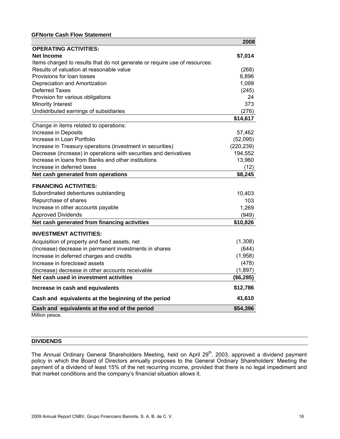#### **GFNorte Cash Flow Statement**

|                                                                            | 2008       |
|----------------------------------------------------------------------------|------------|
| <b>OPERATING ACTIVITIES:</b>                                               |            |
| <b>Net Income</b>                                                          | \$7,014    |
| Items charged to results that do not generate or require use of resources: |            |
| Results of valuation at reasonable value                                   | (268)      |
| Provisions for loan losses                                                 | 6,896      |
| Depreciation and Amortization                                              | 1,099      |
| <b>Deferred Taxes</b>                                                      | (245)      |
| Provision for various obligations                                          | 24         |
| Minority Interest                                                          | 373        |
| Undistributed earnings of subsidiaries                                     | (276)      |
|                                                                            | \$14,617   |
| Change in items related to operations:                                     |            |
| Increase in Deposits                                                       | 57,462     |
| Increase in Loan Portfolio                                                 | (52,095)   |
| Increase in Treasury operations (investment in securities)                 | (220, 239) |
| Decrease (increase) in operations with securities and derivatives          | 194,552    |
| Increase in Ioans from Banks and other institutions                        | 13,960     |
| Increase in deferred taxes                                                 | (12)       |
| Net cash generated from operations                                         | \$8,245    |
| <b>FINANCING ACTIVITIES:</b>                                               |            |
| Subordinated debentures outstanding                                        | 10,403     |
| Repurchase of shares                                                       | 103        |
| Increase in other accounts payable                                         | 1,269      |
| <b>Approved Dividends</b>                                                  | (949)      |
| Net cash generated from financing activities                               | \$10,826   |
| <b>INVESTMENT ACTIVITIES:</b>                                              |            |
| Acquisition of property and fixed assets, net                              | (1,308)    |
| (Increase) decrease in permanent investments in shares                     | (644)      |
| Increase in deferred charges and credits                                   | (1,958)    |
| Increase in foreclosed assets                                              | (478)      |
| (Increase) decrease in other accounts receivable                           | (1,897)    |
| Net cash used in investment activities                                     | (\$6,285)  |
| Increase in cash and equivalents                                           | \$12,786   |
| Cash and equivalents at the beginning of the period                        | 41,610     |
| Cash and equivalents at the end of the period                              | \$54,396   |
| Million pesos.                                                             |            |

#### **DIVIDENDS**

The Annual Ordinary General Shareholders Meeting, held on April 29<sup>th</sup>, 2003, approved a dividend payment policy in which the Board of Directors annually proposes to the General Ordinary Shareholders' Meeting the payment of a dividend of least 15% of the net recurring income, provided that there is no legal impediment and that market conditions and the company's financial situation allows it.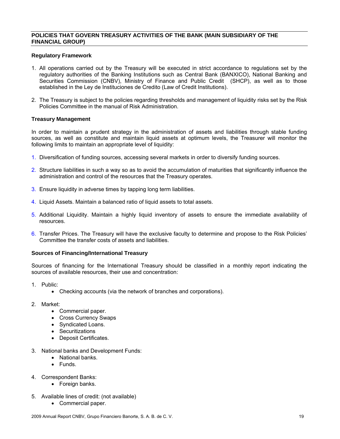#### **POLICIES THAT GOVERN TREASURY ACTIVITIES OF THE BANK (MAIN SUBSIDIARY OF THE FINANCIAL GROUP)**

#### **Regulatory Framework**

- 1. All operations carried out by the Treasury will be executed in strict accordance to regulations set by the regulatory authorities of the Banking Institutions such as Central Bank (BANXICO), National Banking and Securities Commission (CNBV), Ministry of Finance and Public Credit (SHCP), as well as to those established in the Ley de Instituciones de Credito (Law of Credit Institutions).
- 2. The Treasury is subject to the policies regarding thresholds and management of liquidity risks set by the Risk Policies Committee in the manual of Risk Administration.

#### **Treasury Management**

In order to maintain a prudent strategy in the administration of assets and liabilities through stable funding sources, as well as constitute and maintain liquid assets at optimum levels, the Treasurer will monitor the following limits to maintain an appropriate level of liquidity:

- 1. Diversification of funding sources, accessing several markets in order to diversify funding sources.
- 2. Structure liabilities in such a way so as to avoid the accumulation of maturities that significantly influence the administration and control of the resources that the Treasury operates.
- 3. Ensure liquidity in adverse times by tapping long term liabilities.
- 4. Liquid Assets. Maintain a balanced ratio of liquid assets to total assets.
- 5. Additional Liquidity. Maintain a highly liquid inventory of assets to ensure the immediate availability of resources.
- 6. Transfer Prices. The Treasury will have the exclusive faculty to determine and propose to the Risk Policies' Committee the transfer costs of assets and liabilities.

#### **Sources of Financing/International Treasury**

Sources of financing for the International Treasury should be classified in a monthly report indicating the sources of available resources, their use and concentration:

- 1. Public:
	- Checking accounts (via the network of branches and corporations).
- 2. Market:
	- Commercial paper.
	- Cross Currency Swaps
	- Syndicated Loans.
	- Securitizations
	- Deposit Certificates.
- 3. National banks and Development Funds:
	- National banks.
	- Funds.
- 4. Correspondent Banks:
	- Foreign banks.
- 5. Available lines of credit: (not available)
	- Commercial paper.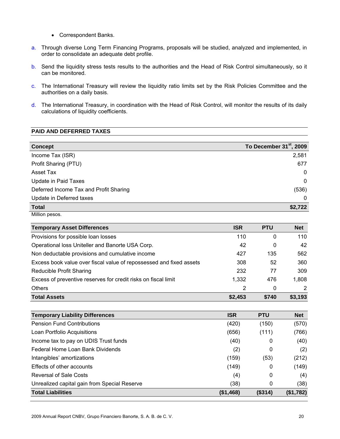- Correspondent Banks.
- a. Through diverse Long Term Financing Programs, proposals will be studied, analyzed and implemented, in order to consolidate an adequate debt profile.
- b. Send the liquidity stress tests results to the authorities and the Head of Risk Control simultaneously, so it can be monitored.
- c. The International Treasury will review the liquidity ratio limits set by the Risk Policies Committee and the authorities on a daily basis.
- d. The International Treasury, in coordination with the Head of Risk Control, will monitor the results of its daily calculations of liquidity coefficients.

#### **PAID AND DEFERRED TAXES**

| <b>Concept</b>                         | To December 31 <sup>st</sup> , 2009 |
|----------------------------------------|-------------------------------------|
| Income Tax (ISR)                       | 2,581                               |
| Profit Sharing (PTU)                   | 677                                 |
| Asset Tax                              | $\mathbf{0}$                        |
| Update in Paid Taxes                   | $\mathbf{0}$                        |
| Deferred Income Tax and Profit Sharing | (536)                               |
| Update in Deferred taxes               | 0                                   |
| <b>Total</b>                           | \$2,722                             |

Million pesos.

| <b>Temporary Asset Differences</b>                                  | <b>ISR</b> | <b>PTU</b> | <b>Net</b> |
|---------------------------------------------------------------------|------------|------------|------------|
| Provisions for possible loan losses                                 | 110        | 0          | 110        |
| Operational loss Uniteller and Banorte USA Corp.                    | 42         | 0          | 42         |
| Non deductable provisions and cumulative income                     | 427        | 135        | 562        |
| Excess book value over fiscal value of repossessed and fixed assets | 308        | 52         | 360        |
| Reducible Profit Sharing                                            | 232        | 77         | 309        |
| Excess of preventive reserves for credit risks on fiscal limit      | 1,332      | 476        | 1,808      |
| <b>Others</b>                                                       | 2          | 0          | 2          |
| <b>Total Assets</b>                                                 | \$2,453    | \$740      | \$3,193    |

| <b>Temporary Liability Differences</b>       | <b>ISR</b> | <b>PTU</b> | <b>Net</b> |
|----------------------------------------------|------------|------------|------------|
| <b>Pension Fund Contributions</b>            | (420)      | (150)      | (570)      |
| Loan Portfolio Acquisitions                  | (656)      | (111)      | (766)      |
| Income tax to pay on UDIS Trust funds        | (40)       | 0          | (40)       |
| Federal Home Loan Bank Dividends             | (2)        | 0          | (2)        |
| Intangibles' amortizations                   | (159)      | (53)       | (212)      |
| Effects of other accounts                    | (149)      | 0          | (149)      |
| Reversal of Sale Costs                       | (4)        | 0          | (4)        |
| Unrealized capital gain from Special Reserve | (38)       | 0          | (38)       |
| <b>Total Liabilities</b>                     | (\$1,468)  | (\$314)    | (\$1,782)  |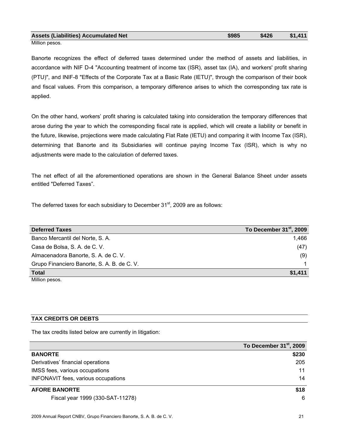| <b>Assets (Liabilities) Accumulated Net</b>                      | \$985 | \$426 | \$1,411 |
|------------------------------------------------------------------|-------|-------|---------|
| <b>B</b> $A^*H^*$ , and $A^*H^*$ and $A^*H^*$ are a set of $A^*$ |       |       |         |

Banorte recognizes the effect of deferred taxes determined under the method of assets and liabilities, in accordance with NIF D-4 "Accounting treatment of income tax (ISR), asset tax (IA), and workers' profit sharing (PTU)", and INIF-8 "Effects of the Corporate Tax at a Basic Rate (IETU)", through the comparison of their book and fiscal values. From this comparison, a temporary difference arises to which the corresponding tax rate is applied.

On the other hand, workers' profit sharing is calculated taking into consideration the temporary differences that arose during the year to which the corresponding fiscal rate is applied, which will create a liability or benefit in the future, likewise, projections were made calculating Flat Rate (IETU) and comparing it with Income Tax (ISR), determining that Banorte and its Subsidiaries will continue paying Income Tax (ISR), which is why no adjustments were made to the calculation of deferred taxes.

The net effect of all the aforementioned operations are shown in the General Balance Sheet under assets entitled "Deferred Taxes".

The deferred taxes for each subsidiary to December  $31<sup>st</sup>$ , 2009 are as follows:

| <b>Deferred Taxes</b>                       | To December 31 <sup>st</sup> , 2009 |
|---------------------------------------------|-------------------------------------|
| Banco Mercantil del Norte, S. A.            | 1.466                               |
| Casa de Bolsa, S. A. de C. V.               | (47)                                |
| Almacenadora Banorte, S. A. de C. V.        | (9)                                 |
| Grupo Financiero Banorte, S. A. B. de C. V. |                                     |
| <b>Total</b>                                | \$1,411                             |
| <b>B. ALLIS</b>                             |                                     |

Million pesos.

#### **TAX CREDITS OR DEBTS**

The tax credits listed below are currently in litigation:

|                                     | To December 31 <sup>st</sup> , 2009 |
|-------------------------------------|-------------------------------------|
| <b>BANORTE</b>                      | \$230                               |
| Derivatives' financial operations   | 205                                 |
| IMSS fees, various occupations      | 11                                  |
| INFONAVIT fees, various occupations | 14                                  |
| <b>AFORE BANORTE</b>                | \$18                                |
| Fiscal year 1999 (330-SAT-11278)    | 6                                   |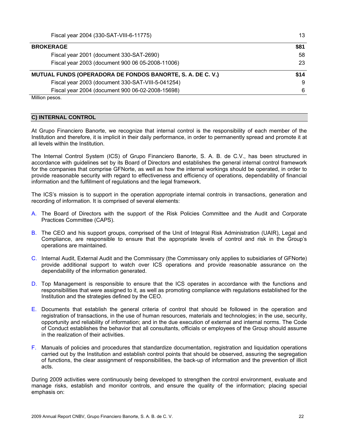| <b>BROKERAGE</b>                                           | \$81 |
|------------------------------------------------------------|------|
| Fiscal year 2001 (document 330-SAT-2690)                   | 58   |
| Fiscal year 2003 (document 900 06 05-2008-11006)           | 23   |
| MUTUAL FUNDS (OPERADORA DE FONDOS BANORTE, S. A. DE C. V.) | \$14 |
| Fiscal year 2003 (document 330-SAT-VIII-5-041254)          | 9    |
| Fiscal year 2004 (document 900 06-02-2008-15698)           | 6    |

#### **C) INTERNAL CONTROL**

At Grupo Financiero Banorte, we recognize that internal control is the responsibility of each member of the Institution and therefore, it is implicit in their daily performance, in order to permanently spread and promote it at all levels within the Institution.

The Internal Control System (ICS) of Grupo Financiero Banorte, S. A. B. de C.V., has been structured in accordance with guidelines set by its Board of Directors and establishes the general internal control framework for the companies that comprise GFNorte, as well as how the internal workings should be operated, in order to provide reasonable security with regard to effectiveness and efficiency of operations, dependability of financial information and the fulfillment of regulations and the legal framework.

The ICS's mission is to support in the operation appropriate internal controls in transactions, generation and recording of information. It is comprised of several elements:

- A. The Board of Directors with the support of the Risk Policies Committee and the Audit and Corporate Practices Committee (CAPS).
- B. The CEO and his support groups, comprised of the Unit of Integral Risk Administration (UAIR), Legal and Compliance, are responsible to ensure that the appropriate levels of control and risk in the Group's operations are maintained.
- C. Internal Audit, External Audit and the Commissary (the Commissary only applies to subsidiaries of GFNorte) provide additional support to watch over ICS operations and provide reasonable assurance on the dependability of the information generated.
- D. Top Management is responsible to ensure that the ICS operates in accordance with the functions and responsibilities that were assigned to it, as well as promoting compliance with regulations established for the Institution and the strategies defined by the CEO.
- E. Documents that establish the general criteria of control that should be followed in the operation and registration of transactions, in the use of human resources, materials and technologies; in the use, security, opportunity and reliability of information; and in the due execution of external and internal norms. The Code of Conduct establishes the behavior that all consultants, officials or employees of the Group should assume in the realization of their activities.
- F. Manuals of policies and procedures that standardize documentation, registration and liquidation operations carried out by the Institution and establish control points that should be observed, assuring the segregation of functions, the clear assignment of responsibilities, the back-up of information and the prevention of illicit acts.

During 2009 activities were continuously being developed to strengthen the control environment, evaluate and manage risks, establish and monitor controls, and ensure the quality of the information; placing special emphasis on: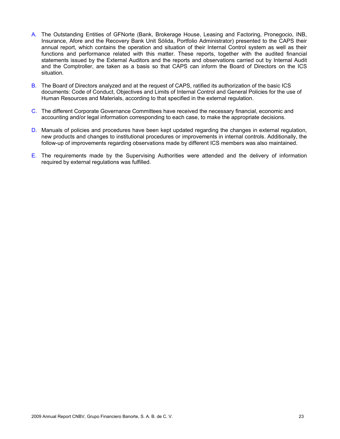- A. The Outstanding Entities of GFNorte (Bank, Brokerage House, Leasing and Factoring, Pronegocio, INB, Insurance, Afore and the Recovery Bank Unit Sólida, Portfolio Administrator) presented to the CAPS their annual report, which contains the operation and situation of their Internal Control system as well as their functions and performance related with this matter. These reports, together with the audited financial statements issued by the External Auditors and the reports and observations carried out by Internal Audit and the Comptroller, are taken as a basis so that CAPS can inform the Board of Directors on the ICS situation.
- B. The Board of Directors analyzed and at the request of CAPS, ratified its authorization of the basic ICS documents: Code of Conduct, Objectives and Limits of Internal Control and General Policies for the use of Human Resources and Materials, according to that specified in the external regulation.
- C. The different Corporate Governance Committees have received the necessary financial, economic and accounting and/or legal information corresponding to each case, to make the appropriate decisions.
- D. Manuals of policies and procedures have been kept updated regarding the changes in external regulation, new products and changes to institutional procedures or improvements in internal controls. Additionally, the follow-up of improvements regarding observations made by different ICS members was also maintained.
- E. The requirements made by the Supervising Authorities were attended and the delivery of information required by external regulations was fulfilled.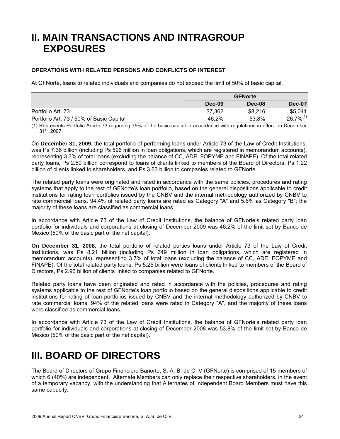# **II. MAIN TRANSACTIONS AND INTRAGROUP EXPOSURES**

#### **OPERATIONS WITH RELATED PERSONS AND CONFLICTS OF INTEREST**

At GFNorte, loans to related individuals and companies do not exceed the limit of 50% of basic capital.

|                                          | <b>GFNorte</b> |         |                |
|------------------------------------------|----------------|---------|----------------|
|                                          | Dec-09         | Dec-08  | Dec-07         |
| Portfolio Art. 73                        | \$7,362        | \$8,216 | \$5,041        |
| Portfolio Art. 73 / 50% of Basic Capital | 46.2%          | 53.8%   | $26.7\%^{(1)}$ |

(1) Represents Portfolio Article 73 regarding 75% of the basic capital in accordance with regulations in effect on December  $31<sup>st</sup>$ , 2007.

On **December 31, 2009,** the total portfolio of performing loans under Article 73 of the Law of Credit Institutions, was Ps 7.36 billion (including Ps 596 million in loan obligations, which are registered in memorandum accounts), representing 3.3% of total loans (excluding the balance of CC, ADE, FOPYME and FINAPE). Of the total related party loans, Ps 2.50 billion correspond to loans of clients linked to members of the Board of Directors, Ps 1.22 billion of clients linked to shareholders, and Ps 3.63 billion to companies related to GFNorte.

The related party loans were originated and rated in accordance with the same policies, procedures and rating systems that apply to the rest of GFNorte's loan portfolio, based on the general dispositions applicable to credit institutions for rating loan portfolios issued by the CNBV and the internal methodology authorized by CNBV to rate commercial loans. 94.4% of related party loans are rated as Category "A" and 5.6% as Category "B"; the majority of these loans are classified as commercial loans.

In accordance with Article 73 of the Law of Credit Institutions, the balance of GFNorte's related party loan portfolio for individuals and corporations at closing of December 2009 was 46.2% of the limit set by Banco de Mexico (50% of the basic part of the net capital).

**On December 31, 2008**, the total portfolio of related parties loans under Article 73 of the Law of Credit Institutions, was Ps 8.21 billion (including Ps 649 million in loan obligations, which are registered in memorandum accounts), representing 3.7% of total loans (excluding the balance of CC, ADE, FOPYME and FINAPE). Of the total related party loans, Ps 5.25 billion were loans of clients linked to members of the Board of Directors, Ps 2.96 billion of clients linked to companies related to GFNorte.

Related party loans have been originated and rated in accordance with the policies, procedures and rating systems applicable to the rest of GFNorte's loan portfolio based on the general dispositions applicable to credit institutions for rating of loan portfolios issued by CNBV and the internal methodology authorized by CNBV to rate commercial loans. 94% of the related loans were rated in Category "A", and the majority of these loans were classified as commercial loans.

In accordance with Article 73 of the Law of Credit Institutions, the balance of GFNorte's related party loan portfolio for individuals and corporations at closing of December 2008 was 53.8% of the limit set by Banco de Mexico (50% of the basic part of the net capital).

### **III. BOARD OF DIRECTORS**

The Board of Directors of Grupo Financiero Banorte, S. A. B. de C. V (GFNorte) is comprised of 15 members of which 6 (40%) are independent. Alternate Members can only replace their respective shareholders, in the event of a temporary vacancy, with the understanding that Alternates of Independent Board Members must have this same capacity.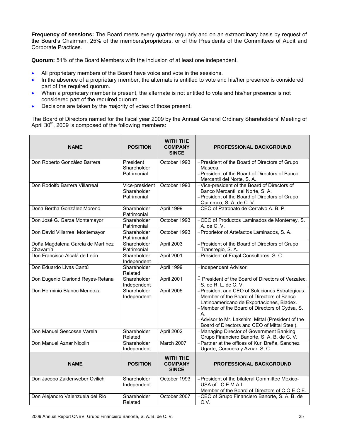**Frequency of sessions:** The Board meets every quarter regularly and on an extraordinary basis by request of the Board's Chairman, 25% of the members/proprietors, or of the Presidents of the Committees of Audit and Corporate Practices.

**Quorum:** 51% of the Board Members with the inclusion of at least one independent.

- All proprietary members of the Board have voice and vote in the sessions.
- In the absence of a proprietary member, the alternate is entitled to vote and his/her presence is considered part of the required quorum.
- When a proprietary member is present, the alternate is not entitled to vote and his/her presence is not considered part of the required quorum.
- Decisions are taken by the majority of votes of those present.

The Board of Directors named for the fiscal year 2009 by the Annual General Ordinary Shareholders' Meeting of April  $30<sup>th</sup>$ , 2009 is composed of the following members:

| <b>NAME</b>                                    | <b>POSITION</b>                              | <b>WITH THE</b><br><b>COMPANY</b><br><b>SINCE</b> | <b>PROFESSIONAL BACKGROUND</b>                                                                                                                                                                                                                                                                           |
|------------------------------------------------|----------------------------------------------|---------------------------------------------------|----------------------------------------------------------------------------------------------------------------------------------------------------------------------------------------------------------------------------------------------------------------------------------------------------------|
| Don Roberto González Barrera                   | President<br>Shareholder<br>Patrimonial      | October 1993                                      | - President of the Board of Directors of Grupo<br>Maseca.<br>- President of the Board of Directors of Banco<br>Mercantil del Norte, S. A.                                                                                                                                                                |
| Don Rodolfo Barrera Villarreal                 | Vice-president<br>Shareholder<br>Patrimonial | October 1993                                      | - Vice-president of the Board of Directors of<br>Banco Mercantil del Norte, S. A.<br>- President of the Board of Directors of Grupo<br>Quimmco, S. A. de C. V.                                                                                                                                           |
| Doña Bertha González Moreno                    | Shareholder<br>Patrimonial                   | April 1999                                        | -CEO of Patronato de Cerralvo A. B. P.                                                                                                                                                                                                                                                                   |
| Don José G. Garza Montemayor                   | Shareholder<br>Patrimonial                   | October 1993                                      | -CEO of Productos Laminados de Monterrey, S.<br>A. de C. V.                                                                                                                                                                                                                                              |
| Don David Villarreal Montemayor                | Shareholder<br>Patrimonial                   | October 1993                                      | - Proprietor of Artefactos Laminados, S. A.                                                                                                                                                                                                                                                              |
| Doña Magdalena García de Martínez<br>Chavarría | Shareholder<br>Patrimonial                   | April 2003                                        | - President of the Board of Directors of Grupo<br>Transregio, S.A.                                                                                                                                                                                                                                       |
| Don Francisco Alcalá de León                   | Shareholder<br>Independent                   | April 2001                                        | - President of Frajal Consultores, S. C.                                                                                                                                                                                                                                                                 |
| Don Eduardo Livas Cantú                        | Shareholder<br>Related                       | April 1999                                        | - Independent Advisor.                                                                                                                                                                                                                                                                                   |
| Don Eugenio Clariond Reyes-Retana              | Shareholder<br>Independent                   | April 2001                                        | - President of the Board of Directors of Verzatec,<br>S. de R. L. de C. V.                                                                                                                                                                                                                               |
| Don Herminio Blanco Mendoza                    | Shareholder<br>Independent                   | April 2005                                        | - President and CEO of Soluciones Estratégicas.<br>- Member of the Board of Directors of Banco<br>Latinoamericano de Exportaciones, Bladex.<br>-Member of the Board of Directors of Cydsa, S.<br>А.<br>-Advisor to Mr. Lakshimi Mittal (President of the<br>Board of Directors and CEO of Mittal Steel). |
| Don Manuel Sescosse Varela                     | Shareholder<br>Related                       | April 2002                                        | -Managing Director of Government Banking,<br>Grupo Financiero Banorte, S. A. B. de C. V.                                                                                                                                                                                                                 |
| Don Manuel Aznar Nicolin                       | Shareholder<br>Independent                   | March 2007                                        | - Partner at the offices of Kuri Breña, Sanchez<br>Ugarte, Corcuera y Aznar, S. C.                                                                                                                                                                                                                       |
| <b>NAME</b>                                    | <b>POSITION</b>                              | <b>WITH THE</b><br><b>COMPANY</b><br><b>SINCE</b> | PROFESSIONAL BACKGROUND                                                                                                                                                                                                                                                                                  |
| Don Jacobo Zaidenweber Cvilich                 | Shareholder<br>Independent                   | October 1993                                      | - President of the bilateral Committee Mexico-<br>USA of C.E.M.A.I.<br>-Member of the Board of Directors of C.O.E.C.E.                                                                                                                                                                                   |
| Don Alejandro Valenzuela del Rio               | Shareholder<br>Related                       | October 2007                                      | -CEO of Grupo Financiero Banorte, S. A. B. de<br>C.V.                                                                                                                                                                                                                                                    |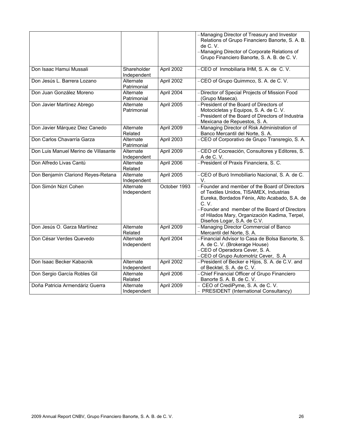|                                      |                            |              | -Managing Director of Treasury and Investor<br>Relations of Grupo Financiero Banorte, S. A. B.<br>de C. V.<br>-Managing Director of Corporate Relations of<br>Grupo Financiero Banorte, S. A. B. de C. V.                                                                                      |
|--------------------------------------|----------------------------|--------------|------------------------------------------------------------------------------------------------------------------------------------------------------------------------------------------------------------------------------------------------------------------------------------------------|
| Don Isaac Hamui Mussali              | Shareholder<br>Independent | April 2002   | -CEO of Inmobiliaria IHM, S. A. de C. V.                                                                                                                                                                                                                                                       |
| Don Jesús L. Barrera Lozano          | Alternate<br>Patrimonial   | April 2002   | -CEO of Grupo Quimmco, S. A. de C. V.                                                                                                                                                                                                                                                          |
| Don Juan González Moreno             | Alternate<br>Patrimonial   | April 2004   | Director of Special Projects of Mission Food<br>(Grupo Maseca).                                                                                                                                                                                                                                |
| Don Javier Martínez Abrego           | Alternate<br>Patrimonial   | April 2005   | - President of the Board of Directors of<br>Motocicletas y Equipos, S. A. de C. V.<br>- President of the Board of Directors of Industria<br>Mexicana de Repuestos, S. A.                                                                                                                       |
| Don Javier Márquez Diez Canedo       | Alternate<br>Related       | April 2009   | - Managing Director of Risk Administration of<br>Banco Mercantil del Norte, S. A.                                                                                                                                                                                                              |
| Don Carlos Chavarría Garza           | Alternate<br>Patrimonial   | April 2003   | CEO of Corporativo de Grupo Transregio, S. A.                                                                                                                                                                                                                                                  |
| Don Luis Manuel Merino de Villasante | Alternate<br>Independent   | April 2009   | -CEO of Cocreación, Consultores y Editores, S.<br>A de C.V.                                                                                                                                                                                                                                    |
| Don Alfredo Livas Cantú              | Alternate<br>Related       | April 2006   | - President of Praxis Financiera, S. C.                                                                                                                                                                                                                                                        |
| Don Benjamín Clariond Reyes-Retana   | Alternate<br>Independent   | April 2005   | -CEO of Buró Inmobiliario Nacional, S. A. de C.<br>V.                                                                                                                                                                                                                                          |
| Don Simón Nizri Cohen                | Alternate<br>Independent   | October 1993 | - Founder and member of the Board of Directors<br>of Textiles Unidos, TISAMEX, Industrias<br>Eureka, Bordados Fénix, Alto Acabado, S.A. de<br>$C_{\cdot}$ V.<br>- Founder and member of the Board of Directors<br>of Hilados Mary, Organización Kadima, Terpel,<br>Diseños Logar, S.A. de C.V. |
| Don Jesús O. Garza Martínez          | Alternate<br>Related       | April 2009   | -Managing Director Commercial of Banco<br>Mercantil del Norte, S. A.                                                                                                                                                                                                                           |
| Don César Verdes Quevedo             | Alternate<br>Independent   | April 2004   | - Financial Advisor to Casa de Bolsa Banorte, S.<br>A. de C. V. (Brokerage House)<br>-CEO of Operadora Cever, S. A.<br>CEO of Grupo Automotriz Cever, S. A                                                                                                                                     |
| Don Isaac Becker Kabacnik            | Alternate<br>Independent   | April 2002   | President of Becker e Hijos, S. A. de C.V. and<br>of Becktel, S. A. de C. V.                                                                                                                                                                                                                   |
| Don Sergio García Robles Gil         | Alternate<br>Related       | April 2006   | Chief Financial Officer of Grupo Financiero<br>Banorte S. A. B. de C. V.                                                                                                                                                                                                                       |
| Doña Patricia Armendáriz Guerra      | Alternate<br>Independent   | April 2009   | - CEO of CrediPyme, S. A. de C. V.<br>- PRESIDENT (International Consultancy)                                                                                                                                                                                                                  |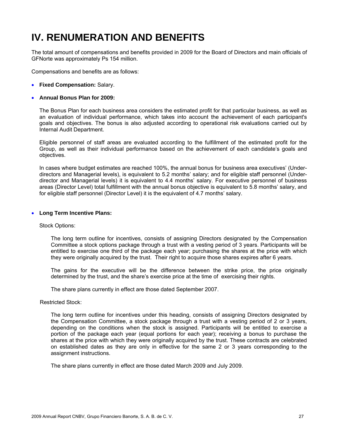# **IV. RENUMERATION AND BENEFITS**

The total amount of compensations and benefits provided in 2009 for the Board of Directors and main officials of GFNorte was approximately Ps 154 million.

Compensations and benefits are as follows:

• **Fixed Compensation:** Salary.

#### • **Annual Bonus Plan for 2009:**

The Bonus Plan for each business area considers the estimated profit for that particular business, as well as an evaluation of individual performance, which takes into account the achievement of each participant's goals and objectives. The bonus is also adjusted according to operational risk evaluations carried out by Internal Audit Department.

Eligible personnel of staff areas are evaluated according to the fulfillment of the estimated profit for the Group, as well as their individual performance based on the achievement of each candidate's goals and objectives.

In cases where budget estimates are reached 100%, the annual bonus for business area executives' (Underdirectors and Managerial levels), is equivalent to 5.2 months' salary; and for eligible staff personnel (Underdirector and Managerial levels) it is equivalent to 4.4 months' salary. For executive personnel of business areas (Director Level) total fulfillment with the annual bonus objective is equivalent to 5.8 months' salary, and for eligible staff personnel (Director Level) it is the equivalent of 4.7 months' salary.

#### • **Long Term Incentive Plans:**

#### Stock Options:

The long term outline for incentives, consists of assigning Directors designated by the Compensation Committee a stock options package through a trust with a vesting period of 3 years. Participants will be entitled to exercise one third of the package each year; purchasing the shares at the price with which they were originally acquired by the trust. Their right to acquire those shares expires after 6 years.

The gains for the executive will be the difference between the strike price, the price originally determined by the trust, and the share's exercise price at the time of exercising their rights.

The share plans currently in effect are those dated September 2007.

Restricted Stock:

The long term outline for incentives under this heading, consists of assigning Directors designated by the Compensation Committee, a stock package through a trust with a vesting period of 2 or 3 years, depending on the conditions when the stock is assigned. Participants will be entitled to exercise a portion of the package each year (equal portions for each year); receiving a bonus to purchase the shares at the price with which they were originally acquired by the trust. These contracts are celebrated on established dates as they are only in effective for the same 2 or 3 years corresponding to the assignment instructions.

The share plans currently in effect are those dated March 2009 and July 2009.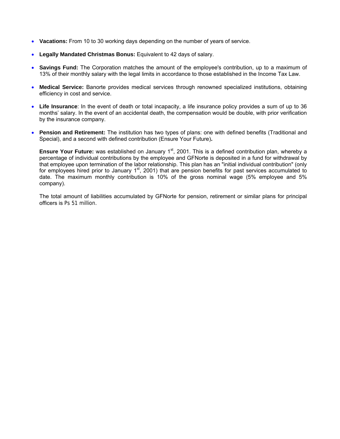- **Vacations:** From 10 to 30 working days depending on the number of years of service.
- **Legally Mandated Christmas Bonus:** Equivalent to 42 days of salary.
- **Savings Fund:** The Corporation matches the amount of the employee's contribution, up to a maximum of 13% of their monthly salary with the legal limits in accordance to those established in the Income Tax Law.
- **Medical Service:** Banorte provides medical services through renowned specialized institutions, obtaining efficiency in cost and service.
- **Life Insurance**: In the event of death or total incapacity, a life insurance policy provides a sum of up to 36 months' salary. In the event of an accidental death, the compensation would be double, with prior verification by the insurance company.
- **Pension and Retirement:** The institution has two types of plans: one with defined benefits (Traditional and Special), and a second with defined contribution (Ensure Your Future)**.**

**Ensure Your Future:** was established on January 1<sup>st</sup>, 2001. This is a defined contribution plan, whereby a percentage of individual contributions by the employee and GFNorte is deposited in a fund for withdrawal by that employee upon termination of the labor relationship. This plan has an "initial individual contribution" (only for employees hired prior to January  $1<sup>st</sup>$ , 2001) that are pension benefits for past services accumulated to date. The maximum monthly contribution is 10% of the gross nominal wage (5% employee and 5% company).

The total amount of liabilities accumulated by GFNorte for pension, retirement or similar plans for principal officers is Ps 51 million.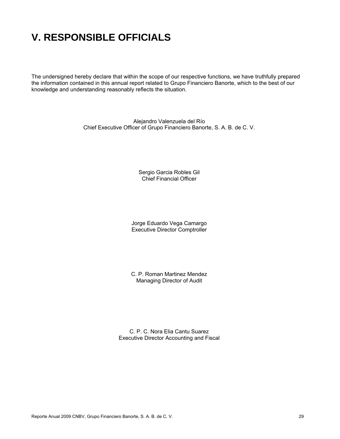# **V. RESPONSIBLE OFFICIALS**

The undersigned hereby declare that within the scope of our respective functions, we have truthfully prepared the information contained in this annual report related to Grupo Financiero Banorte, which to the best of our knowledge and understanding reasonably reflects the situation.

> Alejandro Valenzuela del Río Chief Executive Officer of Grupo Financiero Banorte, S. A. B. de C. V.

> > Sergio Garcia Robles Gil Chief Financial Officer

Jorge Eduardo Vega Camargo Executive Director Comptroller

C. P. Roman Martinez Mendez Managing Director of Audit

C. P. C. Nora Elia Cantu Suarez Executive Director Accounting and Fiscal